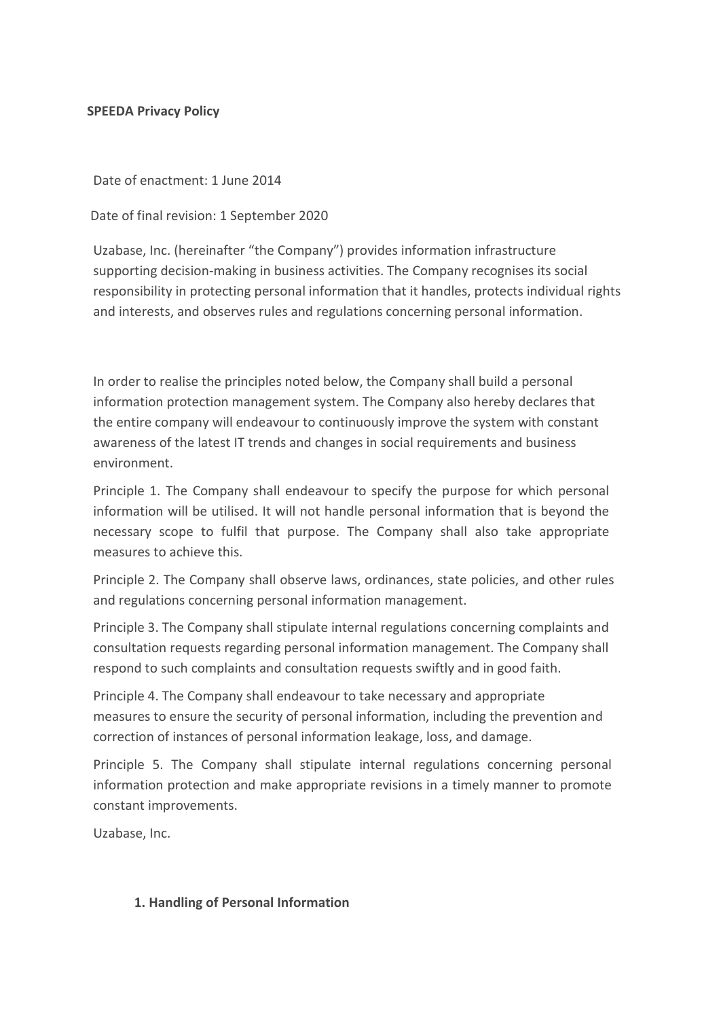## **SPEEDA Privacy Policy**

Date of enactment: 1 June 2014

Date of final revision: 1 September 2020

Uzabase, Inc. (hereinafter "the Company") provides information infrastructure supporting decision-making in business activities. The Company recognises its social responsibility in protecting personal information that it handles, protects individual rights and interests, and observes rules and regulations concerning personal information.

In order to realise the principles noted below, the Company shall build a personal information protection management system. The Company also hereby declares that the entire company will endeavour to continuously improve the system with constant awareness of the latest IT trends and changes in social requirements and business environment.

Principle 1. The Company shall endeavour to specify the purpose for which personal information will be utilised. It will not handle personal information that is beyond the necessary scope to fulfil that purpose. The Company shall also take appropriate measures to achieve this.

Principle 2. The Company shall observe laws, ordinances, state policies, and other rules and regulations concerning personal information management.

Principle 3. The Company shall stipulate internal regulations concerning complaints and consultation requests regarding personal information management. The Company shall respond to such complaints and consultation requests swiftly and in good faith.

Principle 4. The Company shall endeavour to take necessary and appropriate measures to ensure the security of personal information, including the prevention and correction of instances of personal information leakage, loss, and damage.

Principle 5. The Company shall stipulate internal regulations concerning personal information protection and make appropriate revisions in a timely manner to promote constant improvements.

Uzabase, Inc.

# **1. Handling of Personal Information**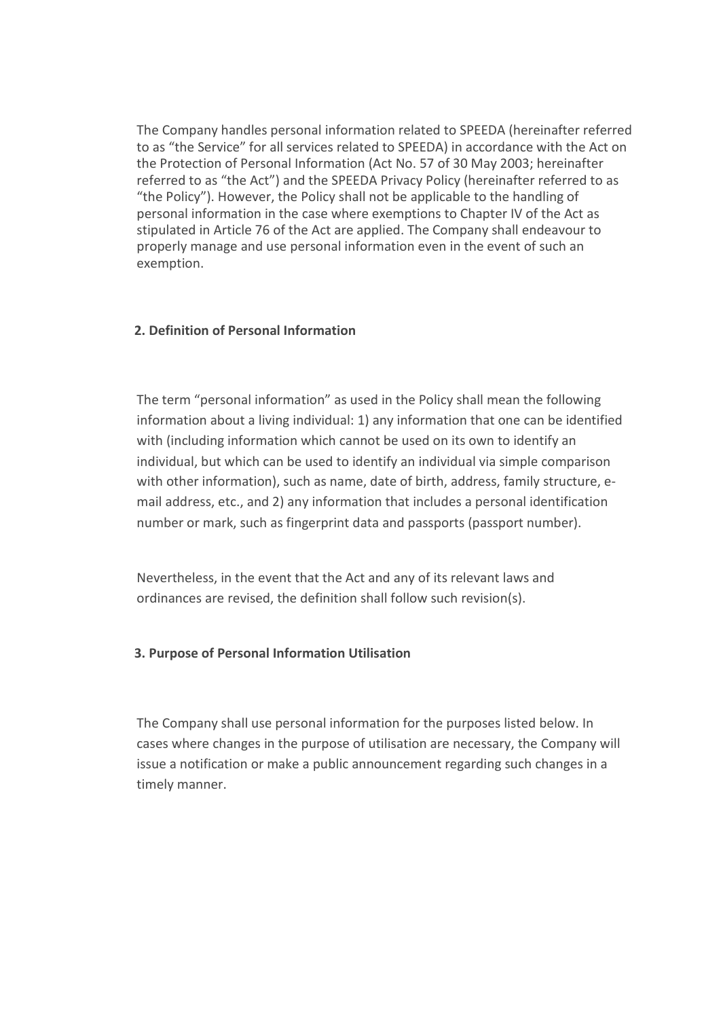The Company handles personal information related to SPEEDA (hereinafter referred to as "the Service" for all services related to SPEEDA) in accordance with the Act on the Protection of Personal Information (Act No. 57 of 30 May 2003; hereinafter referred to as "the Act") and the SPEEDA Privacy Policy (hereinafter referred to as "the Policy"). However, the Policy shall not be applicable to the handling of personal information in the case where exemptions to Chapter IV of the Act as stipulated in Article 76 of the Act are applied. The Company shall endeavour to properly manage and use personal information even in the event of such an exemption.

## **2. Definition of Personal Information**

The term "personal information" as used in the Policy shall mean the following information about a living individual: 1) any information that one can be identified with (including information which cannot be used on its own to identify an individual, but which can be used to identify an individual via simple comparison with other information), such as name, date of birth, address, family structure, email address, etc., and 2) any information that includes a personal identification number or mark, such as fingerprint data and passports (passport number).

Nevertheless, in the event that the Act and any of its relevant laws and ordinances are revised, the definition shall follow such revision(s).

## **3. Purpose of Personal Information Utilisation**

The Company shall use personal information for the purposes listed below. In cases where changes in the purpose of utilisation are necessary, the Company will issue a notification or make a public announcement regarding such changes in a timely manner.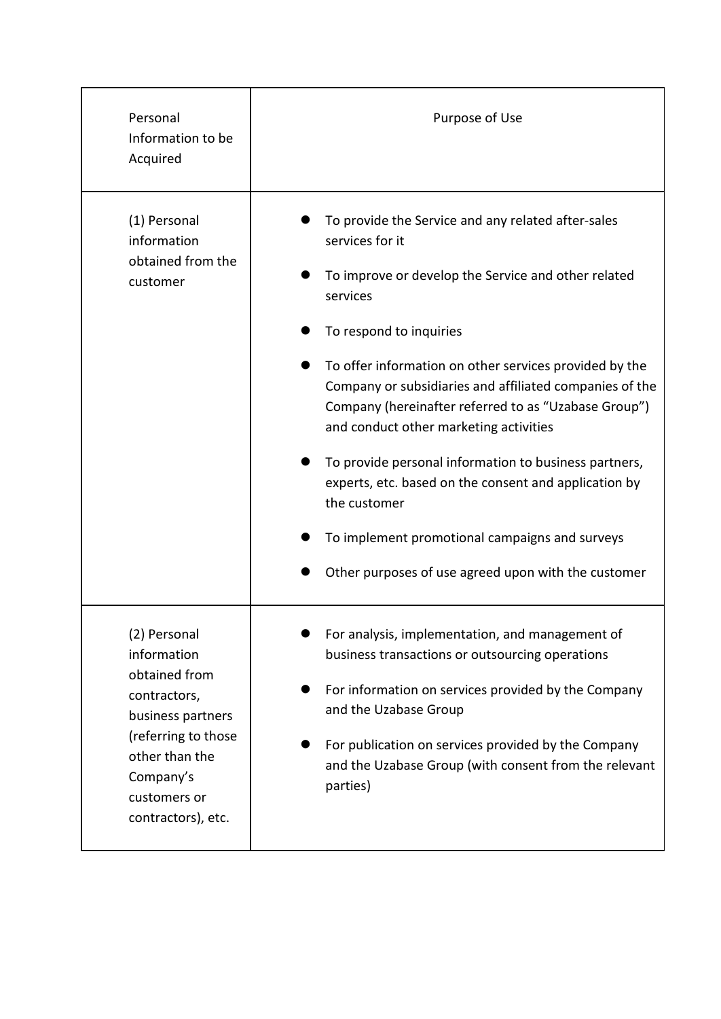| Personal<br>Information to be<br>Acquired                                                                                                                                     | Purpose of Use                                                                                                                                                                                                                                                                                                                                                                                                                                                                                                                                                                                                                        |
|-------------------------------------------------------------------------------------------------------------------------------------------------------------------------------|---------------------------------------------------------------------------------------------------------------------------------------------------------------------------------------------------------------------------------------------------------------------------------------------------------------------------------------------------------------------------------------------------------------------------------------------------------------------------------------------------------------------------------------------------------------------------------------------------------------------------------------|
| (1) Personal<br>information<br>obtained from the<br>customer                                                                                                                  | To provide the Service and any related after-sales<br>services for it<br>To improve or develop the Service and other related<br>services<br>To respond to inquiries<br>To offer information on other services provided by the<br>Company or subsidiaries and affiliated companies of the<br>Company (hereinafter referred to as "Uzabase Group")<br>and conduct other marketing activities<br>To provide personal information to business partners,<br>experts, etc. based on the consent and application by<br>the customer<br>To implement promotional campaigns and surveys<br>Other purposes of use agreed upon with the customer |
| (2) Personal<br>information<br>obtained from<br>contractors,<br>business partners<br>(referring to those<br>other than the<br>Company's<br>customers or<br>contractors), etc. | For analysis, implementation, and management of<br>business transactions or outsourcing operations<br>For information on services provided by the Company<br>and the Uzabase Group<br>For publication on services provided by the Company<br>and the Uzabase Group (with consent from the relevant<br>parties)                                                                                                                                                                                                                                                                                                                        |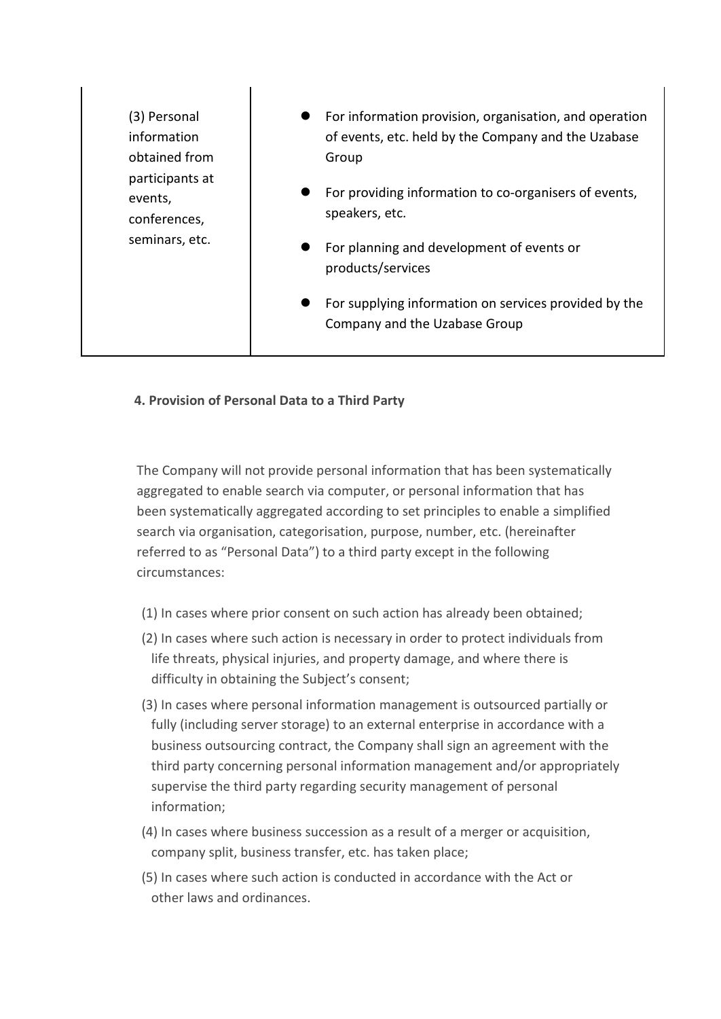| (3) Personal<br>information<br>obtained from<br>participants at<br>events,<br>conferences,<br>seminars, etc. | For information provision, organisation, and operation<br>of events, etc. held by the Company and the Uzabase<br>Group<br>For providing information to co-organisers of events,<br>speakers, etc. |
|--------------------------------------------------------------------------------------------------------------|---------------------------------------------------------------------------------------------------------------------------------------------------------------------------------------------------|
|                                                                                                              | For planning and development of events or<br>products/services<br>For supplying information on services provided by the<br>Company and the Uzabase Group                                          |

# **4. Provision of Personal Data to a Third Party**

 $\mathbf{I}$ 

The Company will not provide personal information that has been systematically aggregated to enable search via computer, or personal information that has been systematically aggregated according to set principles to enable a simplified search via organisation, categorisation, purpose, number, etc. (hereinafter referred to as "Personal Data") to a third party except in the following circumstances:

- (1) In cases where prior consent on such action has already been obtained;
- (2) In cases where such action is necessary in order to protect individuals from life threats, physical injuries, and property damage, and where there is difficulty in obtaining the Subject's consent;
- (3) In cases where personal information management is outsourced partially or fully (including server storage) to an external enterprise in accordance with a business outsourcing contract, the Company shall sign an agreement with the third party concerning personal information management and/or appropriately supervise the third party regarding security management of personal information;
- (4) In cases where business succession as a result of a merger or acquisition, company split, business transfer, etc. has taken place;
- (5) In cases where such action is conducted in accordance with the Act or other laws and ordinances.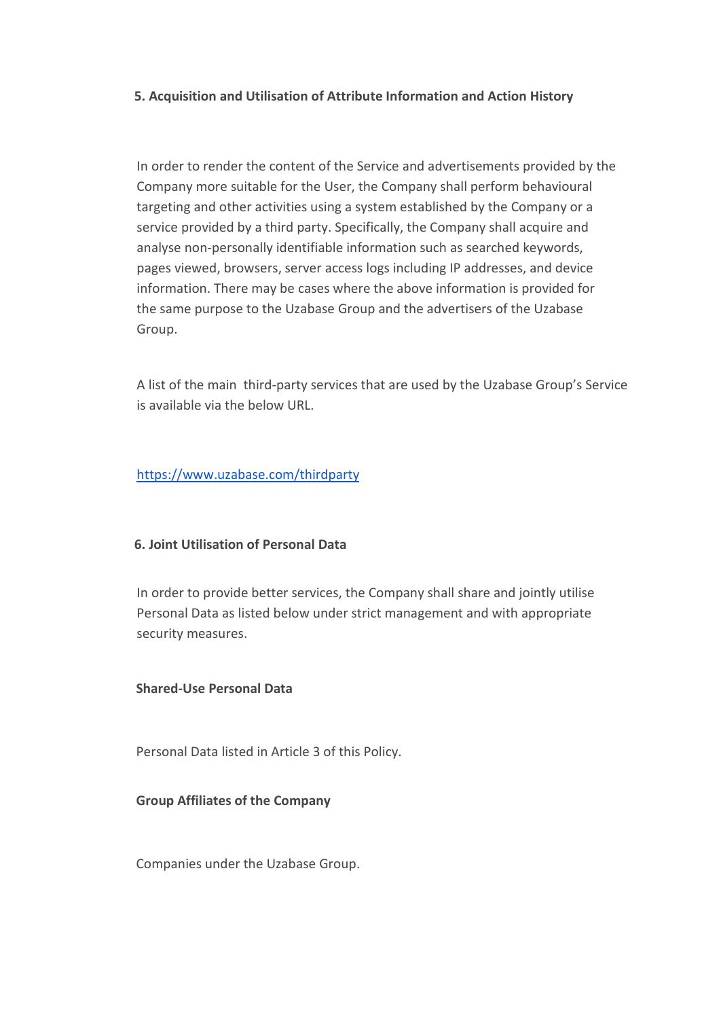## **5. Acquisition and Utilisation of Attribute Information and Action History**

In order to render the content of the Service and advertisements provided by the Company more suitable for the User, the Company shall perform behavioural targeting and other activities using a system established by the Company or a service provided by a third party. Specifically, the Company shall acquire and analyse non-personally identifiable information such as searched keywords, pages viewed, browsers, server access logs including IP addresses, and device information. There may be cases where the above information is provided for the same purpose to the Uzabase Group and the advertisers of the Uzabase Group.

A list of the main third-party services that are used by the Uzabase Group's Service is available via the below URL.

## <https://www.uzabase.com/thirdparty>

## **6. Joint Utilisation of Personal Data**

In order to provide better services, the Company shall share and jointly utilise Personal Data as listed below under strict management and with appropriate security measures.

## **Shared-Use Personal Data**

Personal Data listed in Article 3 of this Policy.

## **Group Affiliates of the Company**

Companies under the Uzabase Group.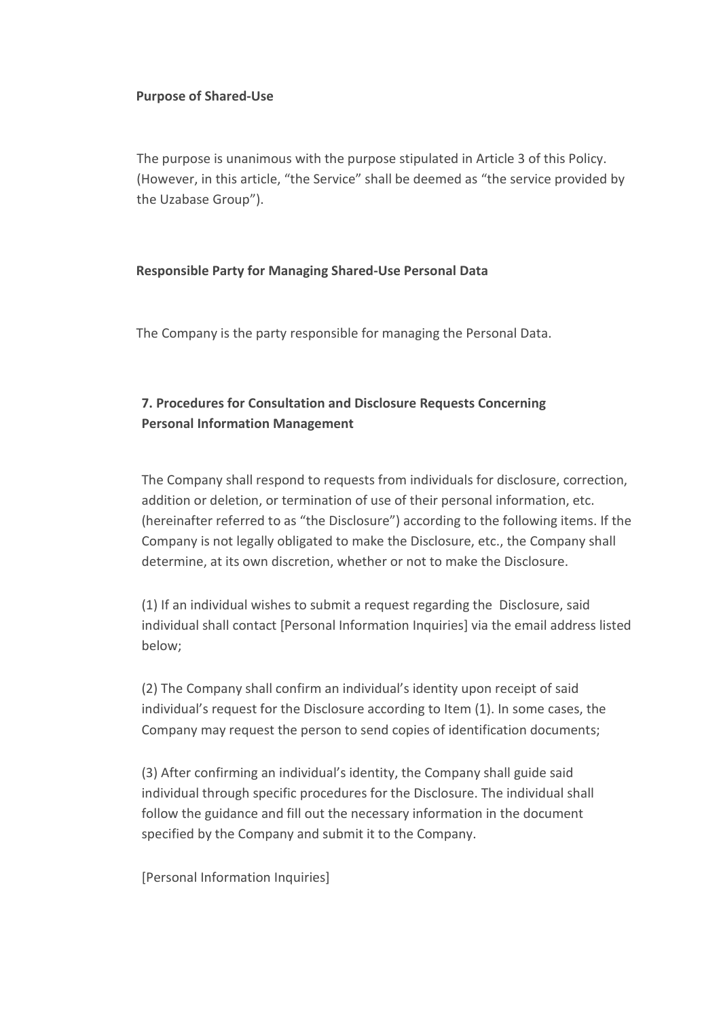## **Purpose of Shared-Use**

The purpose is unanimous with the purpose stipulated in Article 3 of this Policy. (However, in this article, "the Service" shall be deemed as "the service provided by the Uzabase Group").

## **Responsible Party for Managing Shared-Use Personal Data**

The Company is the party responsible for managing the Personal Data.

# **7. Procedures for Consultation and Disclosure Requests Concerning Personal Information Management**

The Company shall respond to requests from individuals for disclosure, correction, addition or deletion, or termination of use of their personal information, etc. (hereinafter referred to as "the Disclosure") according to the following items. If the Company is not legally obligated to make the Disclosure, etc., the Company shall determine, at its own discretion, whether or not to make the Disclosure.

(1) If an individual wishes to submit a request regarding the Disclosure, said individual shall contact [Personal Information Inquiries] via the email address listed below;

(2) The Company shall confirm an individual's identity upon receipt of said individual's request for the Disclosure according to Item (1). In some cases, the Company may request the person to send copies of identification documents;

(3) After confirming an individual's identity, the Company shall guide said individual through specific procedures for the Disclosure. The individual shall follow the guidance and fill out the necessary information in the document specified by the Company and submit it to the Company.

[Personal Information Inquiries]